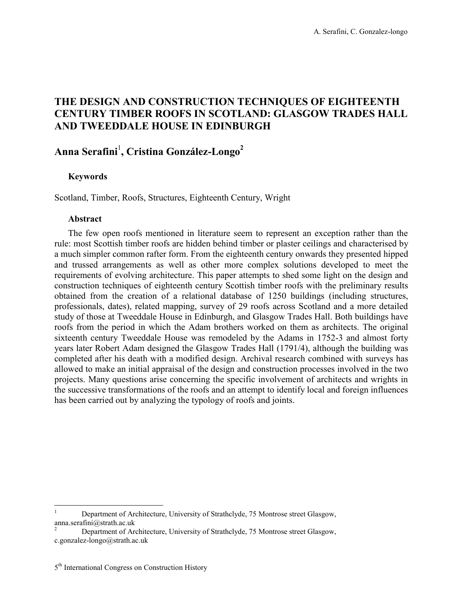## **THE DESIGN AND CONSTRUCTION TECHNIQUES OF EIGHTEENTH CENTURY TIMBER ROOFS IN SCOTLAND: GLASGOW TRADES HALL AND TWEEDDALE HOUSE IN EDINBURGH**

# **Anna Serafini**<sup>1</sup> **, Cristina González-Longo<sup>2</sup>**

### **Keywords**

Scotland, Timber, Roofs, Structures, Eighteenth Century, Wright

#### **Abstract**

 $\overline{a}$ 

The few open roofs mentioned in literature seem to represent an exception rather than the rule: most Scottish timber roofs are hidden behind timber or plaster ceilings and characterised by a much simpler common rafter form. From the eighteenth century onwards they presented hipped and trussed arrangements as well as other more complex solutions developed to meet the requirements of evolving architecture. This paper attempts to shed some light on the design and construction techniques of eighteenth century Scottish timber roofs with the preliminary results obtained from the creation of a relational database of 1250 buildings (including structures, professionals, dates), related mapping, survey of 29 roofs across Scotland and a more detailed study of those at Tweeddale House in Edinburgh, and Glasgow Trades Hall. Both buildings have roofs from the period in which the Adam brothers worked on them as architects. The original sixteenth century Tweeddale House was remodeled by the Adams in 1752-3 and almost forty years later Robert Adam designed the Glasgow Trades Hall (1791/4), although the building was completed after his death with a modified design. Archival research combined with surveys has allowed to make an initial appraisal of the design and construction processes involved in the two projects. Many questions arise concerning the specific involvement of architects and wrights in the successive transformations of the roofs and an attempt to identify local and foreign influences has been carried out by analyzing the typology of roofs and joints.

<sup>1</sup> Department of Architecture, University of Strathclyde, 75 Montrose street Glasgow, anna.serafini@strath.ac.uk

<sup>2</sup> Department of Architecture, University of Strathclyde, 75 Montrose street Glasgow, c.gonzalez-longo@strath.ac.uk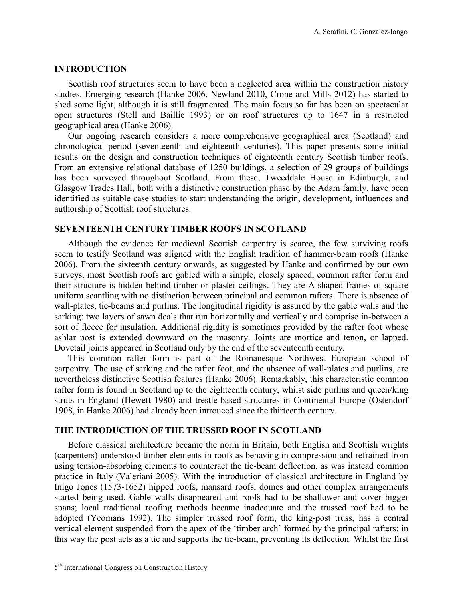### **INTRODUCTION**

Scottish roof structures seem to have been a neglected area within the construction history studies. Emerging research (Hanke 2006, Newland 2010, Crone and Mills 2012) has started to shed some light, although it is still fragmented. The main focus so far has been on spectacular open structures (Stell and Baillie 1993) or on roof structures up to 1647 in a restricted geographical area (Hanke 2006).

Our ongoing research considers a more comprehensive geographical area (Scotland) and chronological period (seventeenth and eighteenth centuries). This paper presents some initial results on the design and construction techniques of eighteenth century Scottish timber roofs. From an extensive relational database of 1250 buildings, a selection of 29 groups of buildings has been surveyed throughout Scotland. From these, Tweeddale House in Edinburgh, and Glasgow Trades Hall, both with a distinctive construction phase by the Adam family, have been identified as suitable case studies to start understanding the origin, development, influences and authorship of Scottish roof structures.

#### **SEVENTEENTH CENTURY TIMBER ROOFS IN SCOTLAND**

Although the evidence for medieval Scottish carpentry is scarce, the few surviving roofs seem to testify Scotland was aligned with the English tradition of hammer-beam roofs (Hanke 2006). From the sixteenth century onwards, as suggested by Hanke and confirmed by our own surveys, most Scottish roofs are gabled with a simple, closely spaced, common rafter form and their structure is hidden behind timber or plaster ceilings. They are A-shaped frames of square uniform scantling with no distinction between principal and common rafters. There is absence of wall-plates, tie-beams and purlins. The longitudinal rigidity is assured by the gable walls and the sarking: two layers of sawn deals that run horizontally and vertically and comprise in-between a sort of fleece for insulation. Additional rigidity is sometimes provided by the rafter foot whose ashlar post is extended downward on the masonry. Joints are mortice and tenon, or lapped. Dovetail joints appeared in Scotland only by the end of the seventeenth century.

This common rafter form is part of the Romanesque Northwest European school of carpentry. The use of sarking and the rafter foot, and the absence of wall-plates and purlins, are nevertheless distinctive Scottish features (Hanke 2006). Remarkably, this characteristic common rafter form is found in Scotland up to the eighteenth century, whilst side purlins and queen/king struts in England (Hewett 1980) and trestle-based structures in Continental Europe (Ostendorf 1908, in Hanke 2006) had already been introuced since the thirteenth century.

#### **THE INTRODUCTION OF THE TRUSSED ROOF IN SCOTLAND**

Before classical architecture became the norm in Britain, both English and Scottish wrights (carpenters) understood timber elements in roofs as behaving in compression and refrained from using tension-absorbing elements to counteract the tie-beam deflection, as was instead common practice in Italy (Valeriani 2005). With the introduction of classical architecture in England by Inigo Jones (1573-1652) hipped roofs, mansard roofs, domes and other complex arrangements started being used. Gable walls disappeared and roofs had to be shallower and cover bigger spans; local traditional roofing methods became inadequate and the trussed roof had to be adopted (Yeomans 1992). The simpler trussed roof form, the king-post truss, has a central vertical element suspended from the apex of the "timber arch" formed by the principal rafters; in this way the post acts as a tie and supports the tie-beam, preventing its deflection. Whilst the first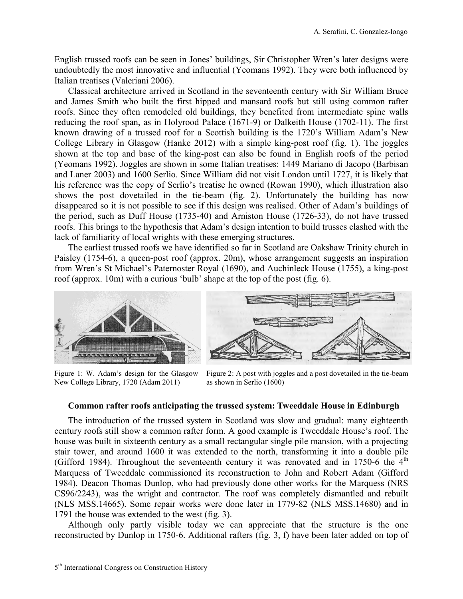English trussed roofs can be seen in Jones" buildings, Sir Christopher Wren"s later designs were undoubtedly the most innovative and influential (Yeomans 1992). They were both influenced by Italian treatises (Valeriani 2006).

Classical architecture arrived in Scotland in the seventeenth century with Sir William Bruce and James Smith who built the first hipped and mansard roofs but still using common rafter roofs. Since they often remodeled old buildings, they benefited from intermediate spine walls reducing the roof span, as in Holyrood Palace (1671-9) or Dalkeith House (1702-11). The first known drawing of a trussed roof for a Scottish building is the 1720"s William Adam"s New College Library in Glasgow (Hanke 2012) with a simple king-post roof (fig. 1). The joggles shown at the top and base of the king-post can also be found in English roofs of the period (Yeomans 1992). Joggles are shown in some Italian treatises: 1449 Mariano di Jacopo (Barbisan and Laner 2003) and 1600 Serlio. Since William did not visit London until 1727, it is likely that his reference was the copy of Serlio's treatise he owned (Rowan 1990), which illustration also shows the post dovetailed in the tie-beam (fig. 2). Unfortunately the building has now disappeared so it is not possible to see if this design was realised. Other of Adam"s buildings of the period, such as Duff House (1735-40) and Arniston House (1726-33), do not have trussed roofs. This brings to the hypothesis that Adam"s design intention to build trusses clashed with the lack of familiarity of local wrights with these emerging structures.

The earliest trussed roofs we have identified so far in Scotland are Oakshaw Trinity church in Paisley (1754-6), a queen-post roof (approx. 20m), whose arrangement suggests an inspiration from Wren"s St Michael"s Paternoster Royal (1690), and Auchinleck House (1755), a king-post roof (approx. 10m) with a curious "bulb" shape at the top of the post (fig. 6).



Figure 1: W. Adam"s design for the Glasgow New College Library, 1720 (Adam 2011)



Figure 2: A post with joggles and a post dovetailed in the tie-beam as shown in Serlio (1600)

#### **Common rafter roofs anticipating the trussed system: Tweeddale House in Edinburgh**

The introduction of the trussed system in Scotland was slow and gradual: many eighteenth century roofs still show a common rafter form. A good example is Tweeddale House's roof. The house was built in sixteenth century as a small rectangular single pile mansion, with a projecting stair tower, and around 1600 it was extended to the north, transforming it into a double pile (Gifford 1984). Throughout the seventeenth century it was renovated and in 1750-6 the  $4<sup>th</sup>$ Marquess of Tweeddale commissioned its reconstruction to John and Robert Adam (Gifford 1984). Deacon Thomas Dunlop, who had previously done other works for the Marquess (NRS CS96/2243), was the wright and contractor. The roof was completely dismantled and rebuilt (NLS MSS.14665). Some repair works were done later in 1779-82 (NLS MSS.14680) and in 1791 the house was extended to the west (fig. 3).

Although only partly visible today we can appreciate that the structure is the one reconstructed by Dunlop in 1750-6. Additional rafters (fig. 3, f) have been later added on top of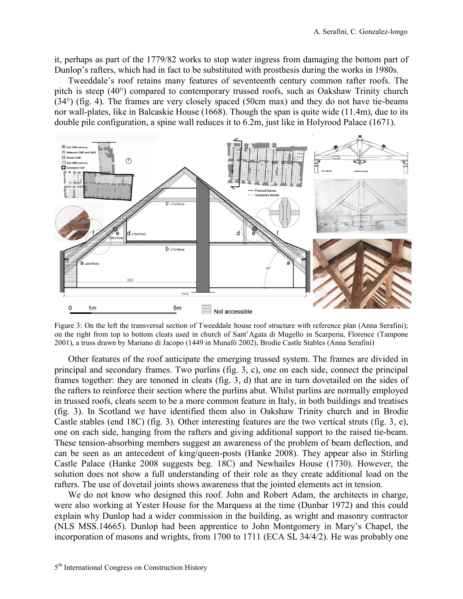it, perhaps as part of the 1779/82 works to stop water ingress from damaging the bottom part of Dunlop"s rafters, which had in fact to be substituted with prosthesis during the works in 1980s.

Tweeddale"s roof retains many features of seventeenth century common rafter roofs. The pitch is steep (40°) compared to contemporary trussed roofs, such as Oakshaw Trinity church (34°) (fig. 4). The frames are very closely spaced (50cm max) and they do not have tie-beams nor wall-plates, like in Balcaskie House (1668). Though the span is quite wide (11.4m), due to its double pile configuration, a spine wall reduces it to 6.2m, just like in Holyrood Palace (1671).



Figure 3: On the left the transversal section of Tweeddale house roof structure with reference plan (Anna Serafini); on the right from top to bottom cleats used in church of Sant"Agata di Mugello in Scarperia, Florence (Tampone 2001), a truss drawn by Mariano di Jacopo (1449 in Munafò 2002), Brodie Castle Stables (Anna Serafini)

Other features of the roof anticipate the emerging trussed system. The frames are divided in principal and secondary frames. Two purlins (fig. 3, c), one on each side, connect the principal frames together: they are tenoned in cleats (fig. 3, d) that are in turn dovetailed on the sides of the rafters to reinforce their section where the purlins abut. Whilst purlins are normally employed in trussed roofs, cleats seem to be a more common feature in Italy, in both buildings and treatises (fig. 3). In Scotland we have identified them also in Oakshaw Trinity church and in Brodie Castle stables (end 18C) (fig. 3). Other interesting features are the two vertical struts (fig. 3, e), one on each side, hanging from the rafters and giving additional support to the raised tie-beam. These tension-absorbing members suggest an awareness of the problem of beam deflection, and can be seen as an antecedent of king/queen-posts (Hanke 2008). They appear also in Stirling Castle Palace (Hanke 2008 suggests beg. 18C) and Newhailes House (1730). However, the solution does not show a full understanding of their role as they create additional load on the rafters. The use of dovetail joints shows awareness that the jointed elements act in tension.

We do not know who designed this roof. John and Robert Adam, the architects in charge, were also working at Yester House for the Marquess at the time (Dunbar 1972) and this could explain why Dunlop had a wider commission in the building, as wright and masonry contractor (NLS MSS.14665). Dunlop had been apprentice to John Montgomery in Mary"s Chapel, the incorporation of masons and wrights, from 1700 to 1711 (ECA SL 34/4/2). He was probably one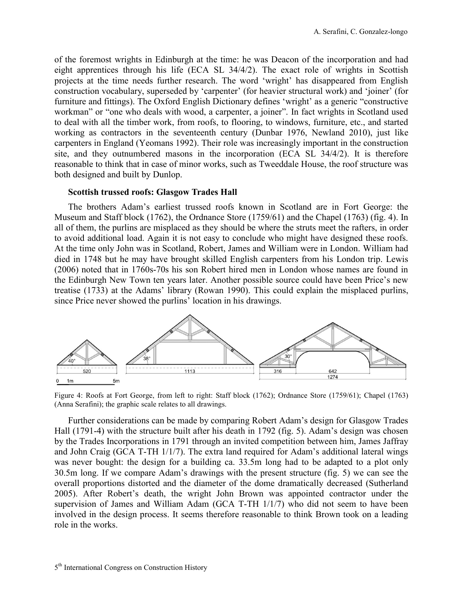of the foremost wrights in Edinburgh at the time: he was Deacon of the incorporation and had eight apprentices through his life (ECA SL 34/4/2). The exact role of wrights in Scottish projects at the time needs further research. The word "wright" has disappeared from English construction vocabulary, superseded by 'carpenter' (for heavier structural work) and 'joiner' (for furniture and fittings). The Oxford English Dictionary defines 'wright' as a generic "constructive" workman" or "one who deals with wood, a carpenter, a joiner". In fact wrights in Scotland used to deal with all the timber work, from roofs, to flooring, to windows, furniture, etc., and started working as contractors in the seventeenth century (Dunbar 1976, Newland 2010), just like carpenters in England (Yeomans 1992). Their role was increasingly important in the construction site, and they outnumbered masons in the incorporation (ECA SL 34/4/2). It is therefore reasonable to think that in case of minor works, such as Tweeddale House, the roof structure was both designed and built by Dunlop.

#### **Scottish trussed roofs: Glasgow Trades Hall**

The brothers Adam"s earliest trussed roofs known in Scotland are in Fort George: the Museum and Staff block (1762), the Ordnance Store (1759/61) and the Chapel (1763) (fig. 4). In all of them, the purlins are misplaced as they should be where the struts meet the rafters, in order to avoid additional load. Again it is not easy to conclude who might have designed these roofs. At the time only John was in Scotland, Robert, James and William were in London. William had died in 1748 but he may have brought skilled English carpenters from his London trip. Lewis (2006) noted that in 1760s-70s his son Robert hired men in London whose names are found in the Edinburgh New Town ten years later. Another possible source could have been Price"s new treatise (1733) at the Adams" library (Rowan 1990). This could explain the misplaced purlins, since Price never showed the purlins' location in his drawings.



Figure 4: Roofs at Fort George, from left to right: Staff block (1762); Ordnance Store (1759/61); Chapel (1763) (Anna Serafini); the graphic scale relates to all drawings.

Further considerations can be made by comparing Robert Adam"s design for Glasgow Trades Hall (1791-4) with the structure built after his death in 1792 (fig. 5). Adam"s design was chosen by the Trades Incorporations in 1791 through an invited competition between him, James Jaffray and John Craig (GCA T-TH 1/1/7). The extra land required for Adam"s additional lateral wings was never bought: the design for a building ca. 33.5m long had to be adapted to a plot only 30.5m long. If we compare Adam"s drawings with the present structure (fig. 5) we can see the overall proportions distorted and the diameter of the dome dramatically decreased (Sutherland 2005). After Robert"s death, the wright John Brown was appointed contractor under the supervision of James and William Adam (GCA T-TH 1/1/7) who did not seem to have been involved in the design process. It seems therefore reasonable to think Brown took on a leading role in the works.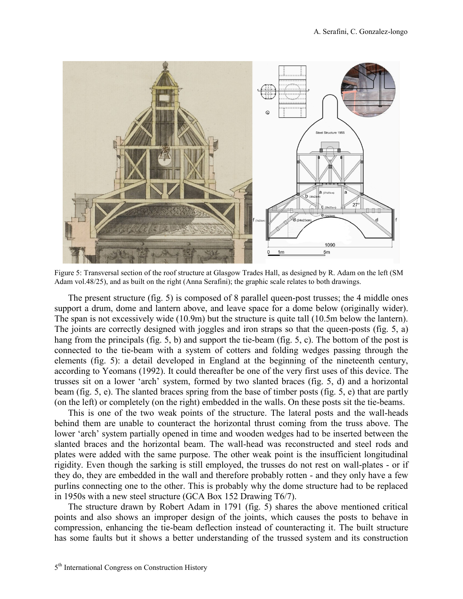

Figure 5: Transversal section of the roof structure at Glasgow Trades Hall, as designed by R. Adam on the left (SM Adam vol.48/25), and as built on the right (Anna Serafini); the graphic scale relates to both drawings.

The present structure (fig. 5) is composed of 8 parallel queen-post trusses; the 4 middle ones support a drum, dome and lantern above, and leave space for a dome below (originally wider). The span is not excessively wide (10.9m) but the structure is quite tall (10.5m below the lantern). The joints are correctly designed with joggles and iron straps so that the queen-posts (fig. 5, a) hang from the principals (fig. 5, b) and support the tie-beam (fig. 5, c). The bottom of the post is connected to the tie-beam with a system of cotters and folding wedges passing through the elements (fig. 5): a detail developed in England at the beginning of the nineteenth century, according to Yeomans (1992). It could thereafter be one of the very first uses of this device. The trusses sit on a lower "arch" system, formed by two slanted braces (fig. 5, d) and a horizontal beam (fig. 5, e). The slanted braces spring from the base of timber posts (fig. 5, e) that are partly (on the left) or completely (on the right) embedded in the walls. On these posts sit the tie-beams.

This is one of the two weak points of the structure. The lateral posts and the wall-heads behind them are unable to counteract the horizontal thrust coming from the truss above. The lower 'arch' system partially opened in time and wooden wedges had to be inserted between the slanted braces and the horizontal beam. The wall-head was reconstructed and steel rods and plates were added with the same purpose. The other weak point is the insufficient longitudinal rigidity. Even though the sarking is still employed, the trusses do not rest on wall-plates - or if they do, they are embedded in the wall and therefore probably rotten - and they only have a few purlins connecting one to the other. This is probably why the dome structure had to be replaced in 1950s with a new steel structure (GCA Box 152 Drawing T6/7).

The structure drawn by Robert Adam in 1791 (fig. 5) shares the above mentioned critical points and also shows an improper design of the joints, which causes the posts to behave in compression, enhancing the tie-beam deflection instead of counteracting it. The built structure has some faults but it shows a better understanding of the trussed system and its construction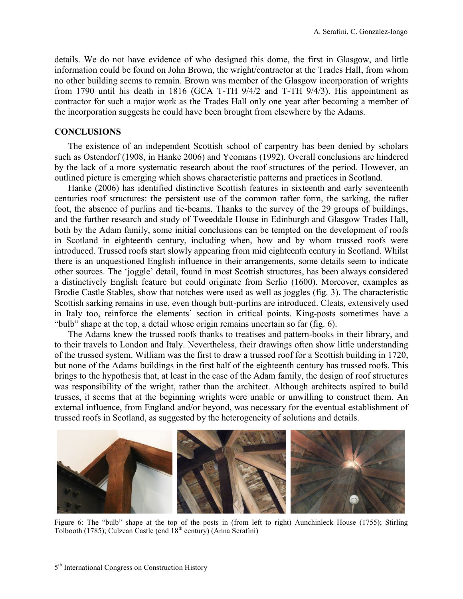details. We do not have evidence of who designed this dome, the first in Glasgow, and little information could be found on John Brown, the wright/contractor at the Trades Hall, from whom no other building seems to remain. Brown was member of the Glasgow incorporation of wrights from 1790 until his death in 1816 (GCA T-TH 9/4/2 and T-TH 9/4/3). His appointment as contractor for such a major work as the Trades Hall only one year after becoming a member of the incorporation suggests he could have been brought from elsewhere by the Adams.

## **CONCLUSIONS**

The existence of an independent Scottish school of carpentry has been denied by scholars such as Ostendorf (1908, in Hanke 2006) and Yeomans (1992). Overall conclusions are hindered by the lack of a more systematic research about the roof structures of the period. However, an outlined picture is emerging which shows characteristic patterns and practices in Scotland.

Hanke (2006) has identified distinctive Scottish features in sixteenth and early seventeenth centuries roof structures: the persistent use of the common rafter form, the sarking, the rafter foot, the absence of purlins and tie-beams. Thanks to the survey of the 29 groups of buildings, and the further research and study of Tweeddale House in Edinburgh and Glasgow Trades Hall, both by the Adam family, some initial conclusions can be tempted on the development of roofs in Scotland in eighteenth century, including when, how and by whom trussed roofs were introduced. Trussed roofs start slowly appearing from mid eighteenth century in Scotland. Whilst there is an unquestioned English influence in their arrangements, some details seem to indicate other sources. The "joggle" detail, found in most Scottish structures, has been always considered a distinctively English feature but could originate from Serlio (1600). Moreover, examples as Brodie Castle Stables, show that notches were used as well as joggles (fig. 3). The characteristic Scottish sarking remains in use, even though butt-purlins are introduced. Cleats, extensively used in Italy too, reinforce the elements' section in critical points. King-posts sometimes have a "bulb" shape at the top, a detail whose origin remains uncertain so far (fig. 6).

The Adams knew the trussed roofs thanks to treatises and pattern-books in their library, and to their travels to London and Italy. Nevertheless, their drawings often show little understanding of the trussed system. William was the first to draw a trussed roof for a Scottish building in 1720, but none of the Adams buildings in the first half of the eighteenth century has trussed roofs. This brings to the hypothesis that, at least in the case of the Adam family, the design of roof structures was responsibility of the wright, rather than the architect. Although architects aspired to build trusses, it seems that at the beginning wrights were unable or unwilling to construct them. An external influence, from England and/or beyond, was necessary for the eventual establishment of trussed roofs in Scotland, as suggested by the heterogeneity of solutions and details.



Figure 6: The "bulb" shape at the top of the posts in (from left to right) Aunchinleck House (1755); Stirling Tolbooth (1785); Culzean Castle (end  $18<sup>th</sup>$  century) (Anna Serafini)